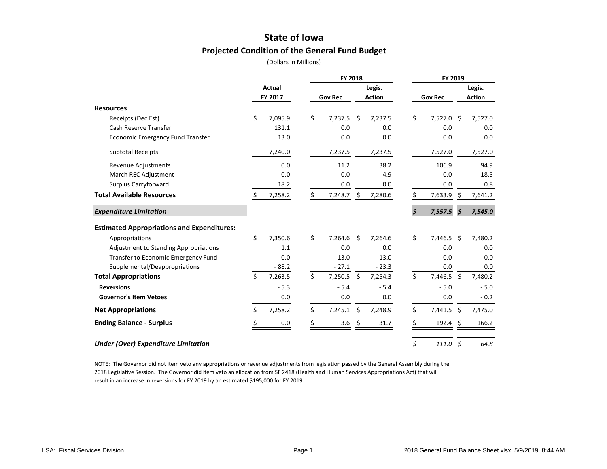### **State of Iowa Projected Condition of the General Fund Budget**

(Dollars in Millions)

|                                                   |               |         | <b>FY 2018</b> |     | FY 2019       |                      |                 |         |               |
|---------------------------------------------------|---------------|---------|----------------|-----|---------------|----------------------|-----------------|---------|---------------|
|                                                   | <b>Actual</b> |         |                |     | Legis.        |                      |                 |         | Legis.        |
|                                                   |               | FY 2017 | <b>Gov Rec</b> |     | <b>Action</b> |                      | <b>Gov Rec</b>  |         | <b>Action</b> |
| <b>Resources</b>                                  |               |         |                |     |               |                      |                 |         |               |
| Receipts (Dec Est)                                | \$            | 7,095.9 | \$<br>7,237.5  | Ŝ.  | 7,237.5       | \$                   | 7,527.0 \$      |         | 7,527.0       |
| Cash Reserve Transfer                             |               | 131.1   | 0.0            |     | 0.0           |                      | 0.0             |         | 0.0           |
| <b>Economic Emergency Fund Transfer</b>           |               | 13.0    | 0.0            |     | 0.0           |                      | 0.0             |         | 0.0           |
| <b>Subtotal Receipts</b>                          |               | 7,240.0 | 7,237.5        |     | 7,237.5       |                      | 7,527.0         |         | 7,527.0       |
| Revenue Adjustments                               |               | 0.0     | 11.2           |     | 38.2          |                      | 106.9           |         | 94.9          |
| March REC Adjustment                              |               | 0.0     | 0.0            |     | 4.9           |                      | 0.0             |         | 18.5          |
| Surplus Carryforward                              |               | 18.2    | 0.0            |     | 0.0           |                      | 0.0             |         | 0.8           |
| <b>Total Available Resources</b>                  | \$            | 7,258.2 | \$<br>7,248.7  | \$  | 7,280.6       | \$                   | 7,633.9         |         | 7,641.2       |
| <b>Expenditure Limitation</b>                     |               |         |                |     |               | $\boldsymbol{\zeta}$ | 7,557.5         | \$      | 7,545.0       |
| <b>Estimated Appropriations and Expenditures:</b> |               |         |                |     |               |                      |                 |         |               |
| Appropriations                                    | \$            | 7,350.6 | \$<br>7,264.6  | Ŝ.  | 7,264.6       | \$                   | 7,446.5 \$      |         | 7,480.2       |
| <b>Adjustment to Standing Appropriations</b>      |               | 1.1     | 0.0            |     | 0.0           |                      | 0.0             |         | 0.0           |
| <b>Transfer to Economic Emergency Fund</b>        |               | 0.0     | 13.0           |     | 13.0          |                      | 0.0             |         | 0.0           |
| Supplemental/Deappropriations                     |               | $-88.2$ | $-27.1$        |     | $-23.3$       |                      | 0.0             |         | 0.0           |
| <b>Total Appropriations</b>                       | \$            | 7,263.5 | \$<br>7,250.5  | \$  | 7,254.3       | \$                   | 7,446.5 \$      |         | 7,480.2       |
| <b>Reversions</b>                                 |               | $-5.3$  | $-5.4$         |     | $-5.4$        |                      | $-5.0$          |         | $-5.0$        |
| <b>Governor's Item Vetoes</b>                     |               | 0.0     | 0.0            |     | 0.0           |                      | 0.0             |         | $-0.2$        |
| <b>Net Appropriations</b>                         | \$            | 7,258.2 | \$<br>7,245.1  | \$. | 7,248.9       | Ś.                   | 7,441.5         | Ŝ.      | 7,475.0       |
| <b>Ending Balance - Surplus</b>                   |               | 0.0     | \$<br>3.6      | \$  | 31.7          | Ś                    | $192.4 \quad $$ |         | 166.2         |
| <b>Under (Over) Expenditure Limitation</b>        |               |         |                |     |               | \$                   | 111.0           | $\zeta$ | 64.8          |

NOTE: The Governor did not item veto any appropriations or revenue adjustments from legislation passed by the General Assembly during the 2018 Legislative Session. The Governor did item veto an allocation from SF 2418 (Health and Human Services Appropriations Act) that will result in an increase in reversions for FY 2019 by an estimated \$195,000 for FY 2019.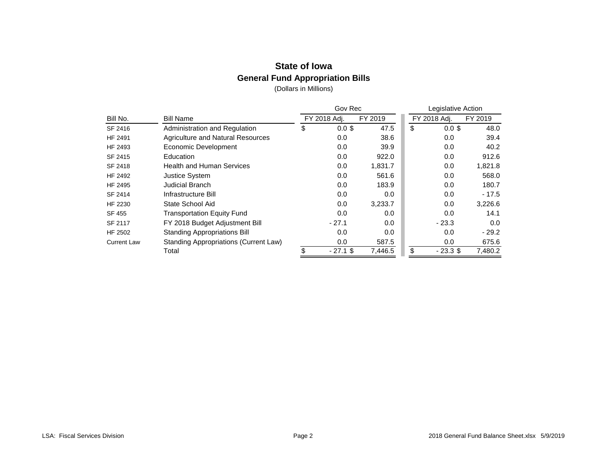# **State of Iowa General Fund Appropriation Bills**

|                    |                                              | Gov Rec        |         | Legislative Action |              |         |  |  |  |
|--------------------|----------------------------------------------|----------------|---------|--------------------|--------------|---------|--|--|--|
| Bill No.           | <b>Bill Name</b>                             | FY 2018 Adj.   | FY 2019 |                    | FY 2018 Adj. | FY 2019 |  |  |  |
| SF 2416            | Administration and Regulation                | \$<br>$0.0$ \$ | 47.5    | \$                 | $0.0$ \$     | 48.0    |  |  |  |
| HF 2491            | Agriculture and Natural Resources            | 0.0            | 38.6    |                    | 0.0          | 39.4    |  |  |  |
| HF 2493            | Economic Development                         | 0.0            | 39.9    |                    | 0.0          | 40.2    |  |  |  |
| SF 2415            | Education                                    | 0.0            | 922.0   |                    | 0.0          | 912.6   |  |  |  |
| SF 2418            | <b>Health and Human Services</b>             | 0.0            | 1,831.7 |                    | 0.0          | 1,821.8 |  |  |  |
| <b>HF 2492</b>     | Justice System                               | 0.0            | 561.6   |                    | 0.0          | 568.0   |  |  |  |
| HF 2495            | Judicial Branch                              | 0.0            | 183.9   |                    | 0.0          | 180.7   |  |  |  |
| SF 2414            | Infrastructure Bill                          | 0.0            | 0.0     |                    | 0.0          | $-17.5$ |  |  |  |
| HF 2230            | State School Aid                             | 0.0            | 3,233.7 |                    | 0.0          | 3,226.6 |  |  |  |
| SF 455             | <b>Transportation Equity Fund</b>            | 0.0            | 0.0     |                    | 0.0          | 14.1    |  |  |  |
| SF 2117            | FY 2018 Budget Adjustment Bill               | $-27.1$        | 0.0     |                    | $-23.3$      | 0.0     |  |  |  |
| HF 2502            | <b>Standing Appropriations Bill</b>          | 0.0            | 0.0     |                    | 0.0          | $-29.2$ |  |  |  |
| <b>Current Law</b> | <b>Standing Appropriations (Current Law)</b> | 0.0            | 587.5   |                    | 0.0          | 675.6   |  |  |  |
|                    | Total                                        | $-27.1$ \$     | 7,446.5 | \$                 | $-23.3$ \$   | 7,480.2 |  |  |  |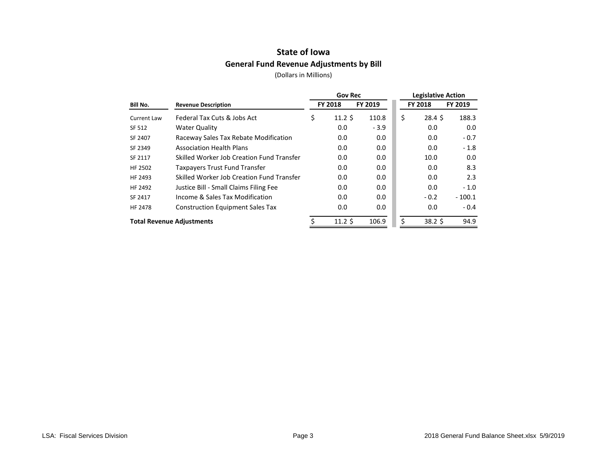## **State of Iowa General Fund Revenue Adjustments by Bill**

|                                        |                                           | <b>Gov Rec</b>        |         | <b>Legislative Action</b> |                 |          |  |  |
|----------------------------------------|-------------------------------------------|-----------------------|---------|---------------------------|-----------------|----------|--|--|
| Bill No.<br><b>Revenue Description</b> |                                           | <b>FY 2018</b>        | FY 2019 |                           | <b>FY 2018</b>  | FY 2019  |  |  |
| Current Law                            | Federal Tax Cuts & Jobs Act               | \$<br>$11.2 \text{ }$ | 110.8   | \$                        | $28.4 \text{ }$ | 188.3    |  |  |
| SF 512                                 | <b>Water Quality</b>                      | 0.0                   | $-3.9$  |                           | 0.0             | 0.0      |  |  |
| SF 2407                                | Raceway Sales Tax Rebate Modification     | 0.0                   | 0.0     |                           | 0.0             | $-0.7$   |  |  |
| SF 2349                                | <b>Association Health Plans</b>           | 0.0                   | 0.0     |                           | 0.0             | $-1.8$   |  |  |
| SF 2117                                | Skilled Worker Job Creation Fund Transfer | 0.0                   | 0.0     |                           | 10.0            | 0.0      |  |  |
| HF 2502                                | Taxpayers Trust Fund Transfer             | 0.0                   | 0.0     |                           | 0.0             | 8.3      |  |  |
| HF 2493                                | Skilled Worker Job Creation Fund Transfer | 0.0                   | 0.0     |                           | 0.0             | 2.3      |  |  |
| HF 2492                                | Justice Bill - Small Claims Filing Fee    | 0.0                   | 0.0     |                           | 0.0             | $-1.0$   |  |  |
| SF 2417                                | Income & Sales Tax Modification           | 0.0                   | 0.0     |                           | $-0.2$          | $-100.1$ |  |  |
| <b>HF 2478</b>                         | <b>Construction Equipment Sales Tax</b>   | 0.0                   | 0.0     |                           | 0.0             | $-0.4$   |  |  |
| <b>Total Revenue Adjustments</b>       |                                           | 11.2S                 | 106.9   | \$                        | $38.2 \text{ }$ | 94.9     |  |  |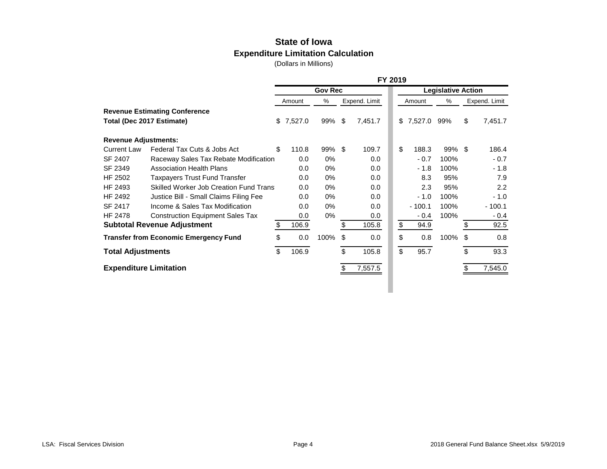### **State of Iowa Expenditure Limitation Calculation**

|                               |                                               | FY 2019 |         |                |    |               |    |           |                           |               |          |  |  |
|-------------------------------|-----------------------------------------------|---------|---------|----------------|----|---------------|----|-----------|---------------------------|---------------|----------|--|--|
|                               |                                               |         |         | <b>Gov Rec</b> |    |               |    |           | <b>Legislative Action</b> |               |          |  |  |
|                               |                                               |         | Amount  | %              |    | Expend. Limit |    | Amount    | %                         | Expend. Limit |          |  |  |
|                               | <b>Revenue Estimating Conference</b>          |         |         |                |    |               |    |           |                           |               |          |  |  |
| Total (Dec 2017 Estimate)     |                                               | \$      | 7,527.0 | 99%            | \$ | 7,451.7       |    | \$7,527.0 | 99%                       | \$            | 7,451.7  |  |  |
| <b>Revenue Adjustments:</b>   |                                               |         |         |                |    |               |    |           |                           |               |          |  |  |
| <b>Current Law</b>            | Federal Tax Cuts & Jobs Act                   | \$      | 110.8   | 99%            | \$ | 109.7         | \$ | 188.3     | $99\%$ \$                 |               | 186.4    |  |  |
| SF 2407                       | Raceway Sales Tax Rebate Modification         |         | 0.0     | 0%             |    | 0.0           |    | $-0.7$    | 100%                      |               | $-0.7$   |  |  |
| SF 2349                       | <b>Association Health Plans</b>               |         | 0.0     | 0%             |    | 0.0           |    | $-1.8$    | 100%                      |               | $-1.8$   |  |  |
| HF 2502                       | <b>Taxpayers Trust Fund Transfer</b>          |         | 0.0     | $0\%$          |    | 0.0           |    | 8.3       | 95%                       |               | 7.9      |  |  |
| HF 2493                       | <b>Skilled Worker Job Creation Fund Trans</b> |         | 0.0     | $0\%$          |    | 0.0           |    | 2.3       | 95%                       |               | 2.2      |  |  |
| HF 2492                       | Justice Bill - Small Claims Filing Fee        |         | 0.0     | $0\%$          |    | 0.0           |    | $-1.0$    | 100%                      |               | $-1.0$   |  |  |
| SF 2417                       | Income & Sales Tax Modification               |         | 0.0     | $0\%$          |    | 0.0           |    | $-100.1$  | 100%                      |               | $-100.1$ |  |  |
| <b>HF 2478</b>                | <b>Construction Equipment Sales Tax</b>       |         | 0.0     | 0%             |    | $0.0\,$       |    | $-0.4$    | 100%                      |               | $-0.4$   |  |  |
|                               | <b>Subtotal Revenue Adjustment</b>            | \$      | 106.9   |                | \$ | 105.8         | \$ | 94.9      |                           | \$            | 92.5     |  |  |
|                               | <b>Transfer from Economic Emergency Fund</b>  | \$      | 0.0     | 100%           | \$ | 0.0           | \$ | 0.8       | 100%                      | \$            | 0.8      |  |  |
| <b>Total Adjustments</b>      |                                               | \$      | 106.9   |                | \$ | 105.8         | \$ | 95.7      |                           | \$            | 93.3     |  |  |
| <b>Expenditure Limitation</b> |                                               |         |         |                | S  | 7,557.5       |    |           |                           | \$.           | 7,545.0  |  |  |
|                               |                                               |         |         |                |    |               |    |           |                           |               |          |  |  |
|                               |                                               |         |         |                |    |               |    |           |                           |               |          |  |  |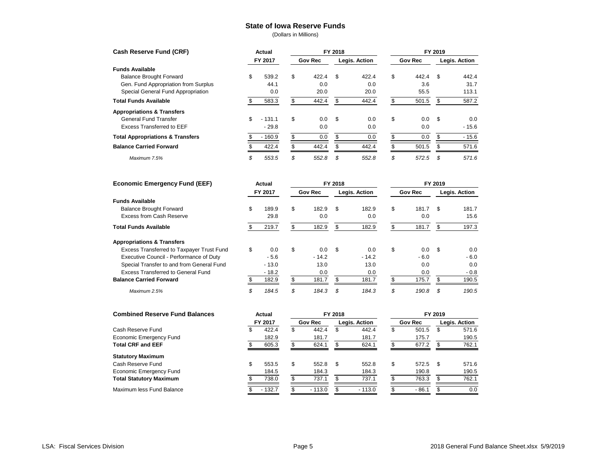#### **State of Iowa Reserve Funds**

| <b>Cash Reserve Fund (CRF)</b>              | Actual         |                |       | FY 2018       |       | FY 2019        |       |               |         |  |  |
|---------------------------------------------|----------------|----------------|-------|---------------|-------|----------------|-------|---------------|---------|--|--|
|                                             | FY 2017        | <b>Gov Rec</b> |       | Legis. Action |       | <b>Gov Rec</b> |       | Legis. Action |         |  |  |
| <b>Funds Available</b>                      |                |                |       |               |       |                |       |               |         |  |  |
| <b>Balance Brought Forward</b>              | \$<br>539.2    | \$             | 422.4 | - \$          | 422.4 | \$             | 442.4 | \$            | 442.4   |  |  |
| Gen. Fund Appropriation from Surplus        | 44.1           |                | 0.0   |               | 0.0   |                | 3.6   |               | 31.7    |  |  |
| Special General Fund Appropriation          | 0.0            |                | 20.0  |               | 20.0  |                | 55.5  |               | 113.1   |  |  |
| <b>Total Funds Available</b>                | \$<br>583.3    |                | 442.4 | \$            | 442.4 |                | 501.5 | \$.           | 587.2   |  |  |
| <b>Appropriations &amp; Transfers</b>       |                |                |       |               |       |                |       |               |         |  |  |
| <b>General Fund Transfer</b>                | \$<br>$-131.1$ | \$             | 0.0   | - \$          | 0.0   | \$             | 0.0   | -\$           | 0.0     |  |  |
| <b>Excess Transferred to EEF</b>            | $-29.8$        |                | 0.0   |               | 0.0   |                | 0.0   |               | $-15.6$ |  |  |
| <b>Total Appropriations &amp; Transfers</b> | $-160.9$       |                | 0.0   |               | 0.0   |                | 0.0   |               | $-15.6$ |  |  |
| <b>Balance Carried Forward</b>              | 422.4          |                | 442.4 |               | 442.4 |                | 501.5 |               | 571.6   |  |  |
| Maximum 7.5%                                | \$<br>553.5    | \$             | 552.8 | \$            | 552.8 | \$             | 572.5 | -35           | 571.6   |  |  |

| <b>Economic Emergency Fund (EEF)</b>      | Actual      |                |         | FY 2018       |         | FY 2019        |        |               |        |  |  |
|-------------------------------------------|-------------|----------------|---------|---------------|---------|----------------|--------|---------------|--------|--|--|
|                                           | FY 2017     | <b>Gov Rec</b> |         | Legis. Action |         | <b>Gov Rec</b> |        | Legis. Action |        |  |  |
| <b>Funds Available</b>                    |             |                |         |               |         |                |        |               |        |  |  |
| <b>Balance Brought Forward</b>            | \$<br>189.9 | \$             | 182.9   | \$            | 182.9   | \$             | 181.7  | \$.           | 181.7  |  |  |
| Excess from Cash Reserve                  | 29.8        |                | 0.0     |               | 0.0     |                | 0.0    |               | 15.6   |  |  |
| <b>Total Funds Available</b>              | 219.7       |                | 182.9   | \$            | 182.9   |                | 181.7  |               | 197.3  |  |  |
| <b>Appropriations &amp; Transfers</b>     |             |                |         |               |         |                |        |               |        |  |  |
| Excess Transferred to Taxpayer Trust Fund | \$<br>0.0   | \$             | 0.0     | -\$           | 0.0     | \$             | 0.0    | \$            | 0.0    |  |  |
| Executive Council - Performance of Duty   | $-5.6$      |                | $-14.2$ |               | $-14.2$ |                | $-6.0$ |               | $-6.0$ |  |  |
| Special Transfer to and from General Fund | $-13.0$     |                | 13.0    |               | 13.0    |                | 0.0    |               | 0.0    |  |  |
| Excess Transferred to General Fund        | $-18.2$     |                | 0.0     |               | 0.0     |                | 0.0    |               | $-0.8$ |  |  |
| <b>Balance Carried Forward</b>            | 182.9       |                | 181.7   |               | 181.7   |                | 175.7  |               | 190.5  |  |  |
| Maximum 2.5%                              | \$<br>184.5 | \$             | 184.3   | \$            | 184.3   | \$             | 190.8  | \$            | 190.5  |  |  |

| <b>Combined Reserve Fund Balances</b> |    | Actual   |                |          | FY 2018       |          | FY 2019        |         |               |       |  |  |
|---------------------------------------|----|----------|----------------|----------|---------------|----------|----------------|---------|---------------|-------|--|--|
|                                       |    | FY 2017  | <b>Gov Rec</b> |          | Legis. Action |          | <b>Gov Rec</b> |         | Legis. Action |       |  |  |
| Cash Reserve Fund                     | S  | 422.4    | S              | 442.4    | S             | 442.4    | \$             | 501.5   | S             | 571.6 |  |  |
| Economic Emergency Fund               |    | 182.9    |                | 181.7    |               | 181.7    |                | 175.7   |               | 190.5 |  |  |
| <b>Total CRF and EEF</b>              |    | 605.3    |                | 624.1    |               | 624.1    |                | 677.2   |               | 762.1 |  |  |
| <b>Statutory Maximum</b>              |    |          |                |          |               |          |                |         |               |       |  |  |
| Cash Reserve Fund                     | \$ | 553.5    | \$             | 552.8    | -S            | 552.8    | \$             | 572.5   | - \$          | 571.6 |  |  |
| Economic Emergency Fund               |    | 184.5    |                | 184.3    |               | 184.3    |                | 190.8   |               | 190.5 |  |  |
| <b>Total Statutory Maximum</b>        |    | 738.0    |                | 737.1    |               | 737.1    |                | 763.3   |               | 762.1 |  |  |
| Maximum less Fund Balance             |    | $-132.7$ |                | $-113.0$ |               | $-113.0$ |                | $-86.1$ |               | 0.0   |  |  |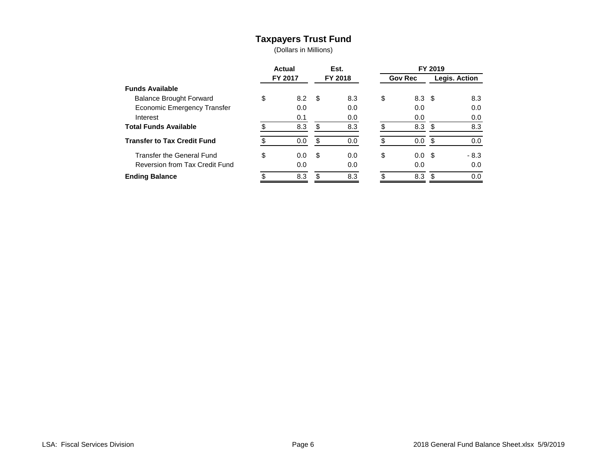### **Taxpayers Trust Fund**

|                                    | Actual<br>FY 2017 |     |      | Est.    | FY 2019 |                  |                      |        |  |  |  |
|------------------------------------|-------------------|-----|------|---------|---------|------------------|----------------------|--------|--|--|--|
|                                    |                   |     |      | FY 2018 |         | <b>Gov Rec</b>   | <b>Legis. Action</b> |        |  |  |  |
| <b>Funds Available</b>             |                   |     |      |         |         |                  |                      |        |  |  |  |
| <b>Balance Brought Forward</b>     | \$                | 8.2 | - \$ | 8.3     | \$      | 8.3 <sup>5</sup> |                      | 8.3    |  |  |  |
| Economic Emergency Transfer        |                   | 0.0 |      | 0.0     |         | 0.0              |                      | 0.0    |  |  |  |
| Interest                           |                   | 0.1 |      | 0.0     |         | 0.0              |                      | 0.0    |  |  |  |
| <b>Total Funds Available</b>       |                   | 8.3 | \$   | 8.3     |         | 8.3 <sup>5</sup> |                      | 8.3    |  |  |  |
| <b>Transfer to Tax Credit Fund</b> |                   | 0.0 | \$   | 0.0     |         | $0.0 \,$ \$      |                      | 0.0    |  |  |  |
| <b>Transfer the General Fund</b>   | \$                | 0.0 | -\$  | 0.0     | \$      | 0.0 <sup>5</sup> |                      | $-8.3$ |  |  |  |
| Reversion from Tax Credit Fund     |                   | 0.0 |      | 0.0     |         | 0.0              |                      | 0.0    |  |  |  |
| <b>Ending Balance</b>              |                   | 8.3 |      | 8.3     |         | 8.3              | £.                   | 0.0    |  |  |  |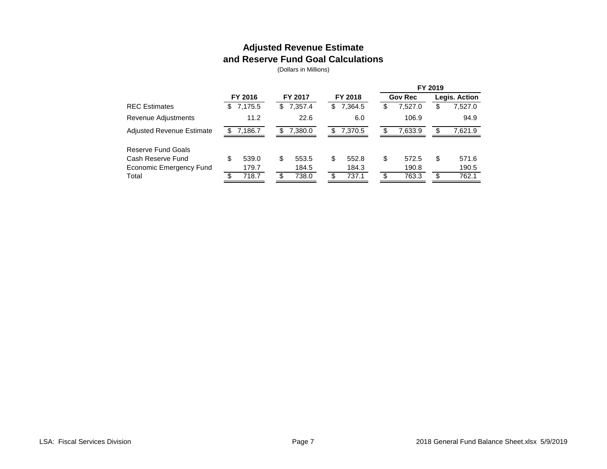### **Adjusted Revenue Estimate and Reserve Fund Goal Calculations**

|                                  |     |         |    |         |    |         |    |                | FY 2019 |               |
|----------------------------------|-----|---------|----|---------|----|---------|----|----------------|---------|---------------|
|                                  |     | FY 2016 |    | FY 2017 |    | FY 2018 |    | <b>Gov Rec</b> |         | Legis. Action |
| <b>REC</b> Estimates             | \$  | 7,175.5 | S. | 7,357.4 | \$ | 7,364.5 | æ. | 7,527.0        | S       | 7,527.0       |
| Revenue Adjustments              |     | 11.2    |    | 22.6    |    | 6.0     |    | 106.9          |         | 94.9          |
| <b>Adjusted Revenue Estimate</b> |     | 7,186.7 | S. | 7,380.0 | S  | 7.370.5 |    | 7,633.9        | S       | 7,621.9       |
| Reserve Fund Goals               |     |         |    |         |    |         |    |                |         |               |
| Cash Reserve Fund                | \$  | 539.0   | \$ | 553.5   | \$ | 552.8   | \$ | 572.5          | \$      | 571.6         |
| Economic Emergency Fund          |     | 179.7   |    | 184.5   |    | 184.3   |    | 190.8          |         | 190.5         |
| Total                            | \$. | 718.7   | \$ | 738.0   |    | 737.1   | £. | 763.3          | S       | 762.1         |